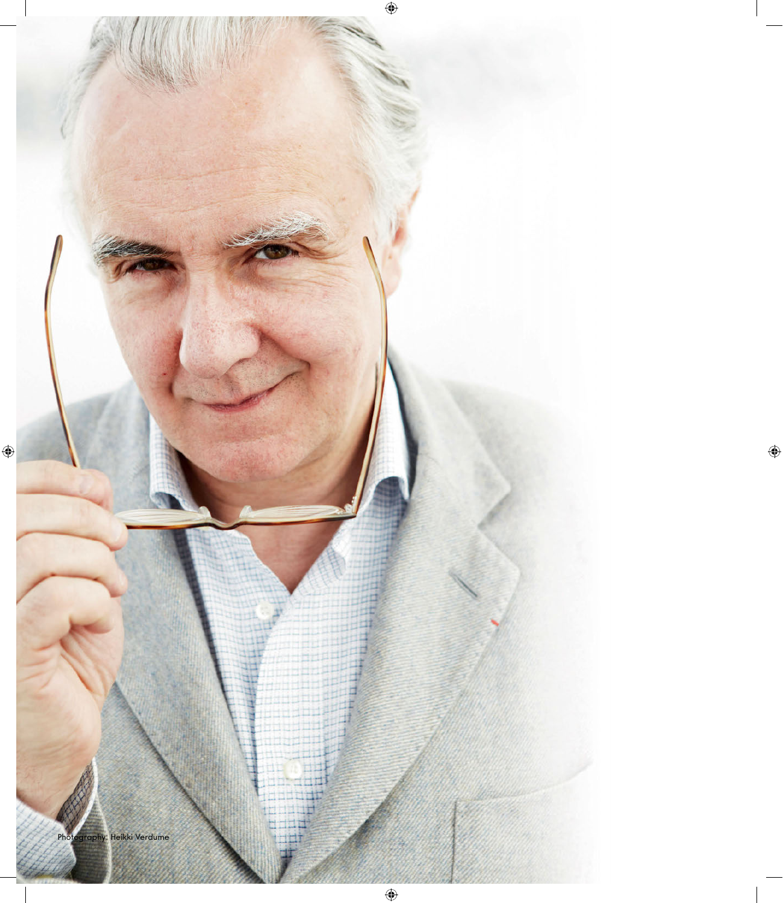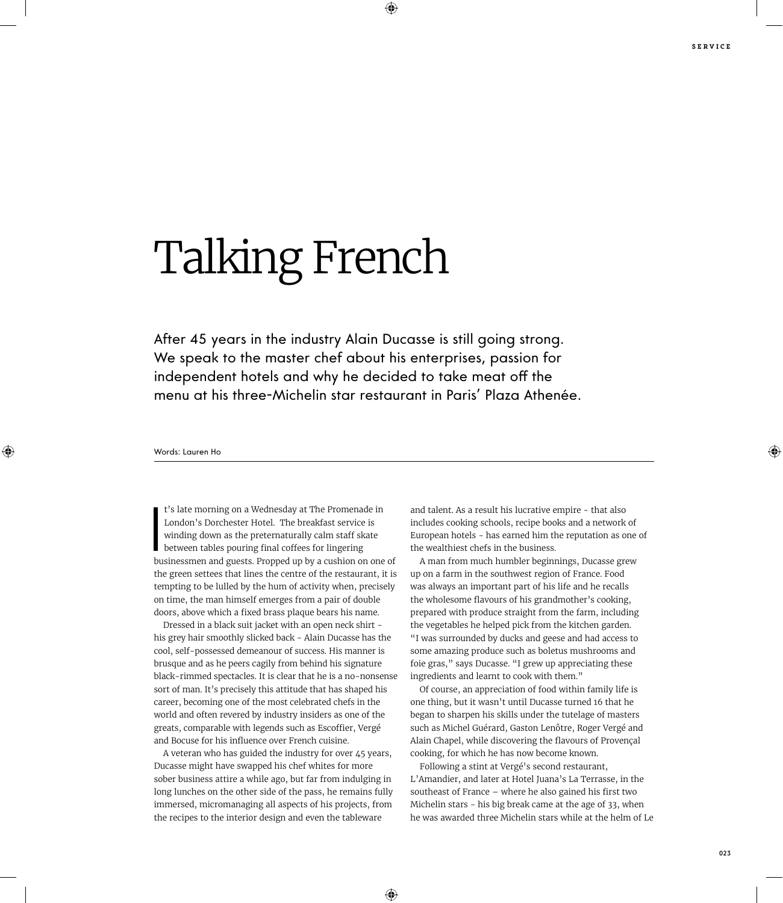## Talking French

After 45 years in the industry Alain Ducasse is still going strong. We speak to the master chef about his enterprises, passion for independent hotels and why he decided to take meat off the menu at his three-Michelin star restaurant in Paris' Plaza Athenée.

## Words: Lauren Ho

t's late morning on a Wednesday at The Promenade in<br>London's Dorchester Hotel. The breakfast service is<br>winding down as the preternaturally calm staff skate<br>between tables pouring final coffees for lingering<br>businessmen an t's late morning on a Wednesday at The Promenade in London's Dorchester Hotel. The breakfast service is winding down as the preternaturally calm staff skate between tables pouring final coffees for lingering the green settees that lines the centre of the restaurant, it is tempting to be lulled by the hum of activity when, precisely on time, the man himself emerges from a pair of double doors, above which a fixed brass plaque bears his name.

Dressed in a black suit jacket with an open neck shirt his grey hair smoothly slicked back - Alain Ducasse has the cool, self-possessed demeanour of success. His manner is brusque and as he peers cagily from behind his signature black-rimmed spectacles. It is clear that he is a no-nonsense sort of man. It's precisely this attitude that has shaped his career, becoming one of the most celebrated chefs in the world and often revered by industry insiders as one of the greats, comparable with legends such as Escoffier, Vergé and Bocuse for his influence over French cuisine.

A veteran who has guided the industry for over 45 years, Ducasse might have swapped his chef whites for more sober business attire a while ago, but far from indulging in long lunches on the other side of the pass, he remains fully immersed, micromanaging all aspects of his projects, from the recipes to the interior design and even the tableware

and talent. As a result his lucrative empire - that also includes cooking schools, recipe books and a network of European hotels - has earned him the reputation as one of the wealthiest chefs in the business.

A man from much humbler beginnings, Ducasse grew up on a farm in the southwest region of France. Food was always an important part of his life and he recalls the wholesome flavours of his grandmother's cooking, prepared with produce straight from the farm, including the vegetables he helped pick from the kitchen garden. "I was surrounded by ducks and geese and had access to some amazing produce such as boletus mushrooms and foie gras," says Ducasse. "I grew up appreciating these ingredients and learnt to cook with them."

Of course, an appreciation of food within family life is one thing, but it wasn't until Ducasse turned 16 that he began to sharpen his skills under the tutelage of masters such as Michel Guérard, Gaston Lenôtre, Roger Vergé and Alain Chapel, while discovering the flavours of Provençal cooking, for which he has now become known.

Following a stint at Vergé's second restaurant, L'Amandier, and later at Hotel Juana's La Terrasse, in the southeast of France – where he also gained his first two Michelin stars - his big break came at the age of 33, when he was awarded three Michelin stars while at the helm of Le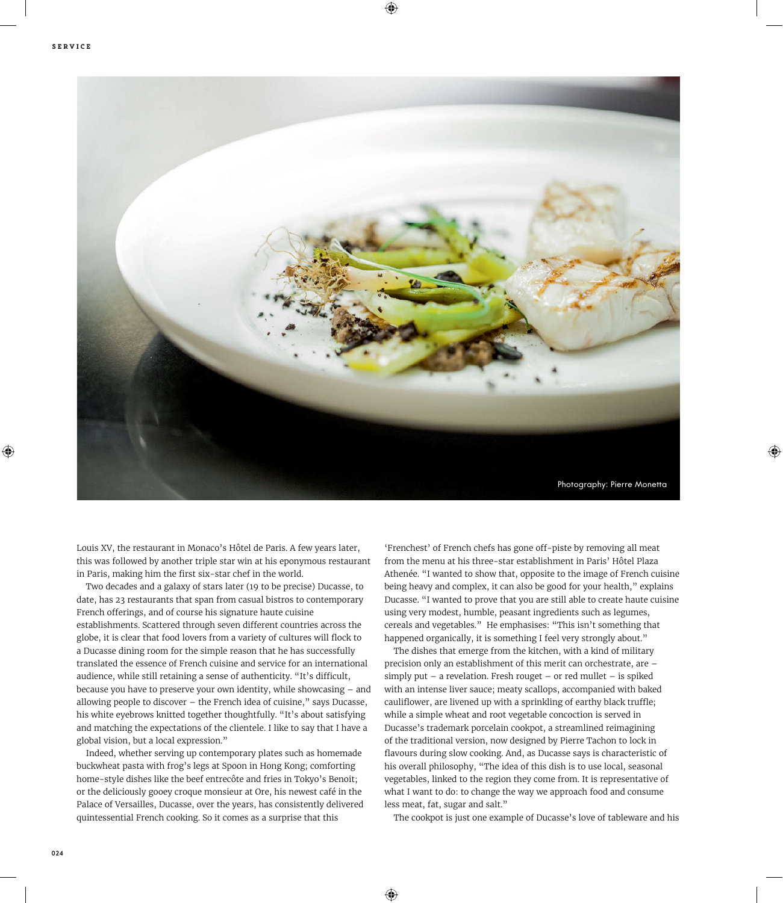

Louis XV, the restaurant in Monaco's Hôtel de Paris. A few years later, this was followed by another triple star win at his eponymous restaurant in Paris, making him the first six-star chef in the world.

Two decades and a galaxy of stars later (19 to be precise) Ducasse, to date, has 23 restaurants that span from casual bistros to contemporary French offerings, and of course his signature haute cuisine establishments. Scattered through seven different countries across the globe, it is clear that food lovers from a variety of cultures will flock to a Ducasse dining room for the simple reason that he has successfully translated the essence of French cuisine and service for an international audience, while still retaining a sense of authenticity. "It's difficult, because you have to preserve your own identity, while showcasing – and allowing people to discover – the French idea of cuisine," says Ducasse, his white eyebrows knitted together thoughtfully. "It's about satisfying and matching the expectations of the clientele. I like to say that I have a global vision, but a local expression."

Indeed, whether serving up contemporary plates such as homemade buckwheat pasta with frog's legs at Spoon in Hong Kong; comforting home-style dishes like the beef entrecôte and fries in Tokyo's Benoit; or the deliciously gooey croque monsieur at Ore, his newest café in the Palace of Versailles, Ducasse, over the years, has consistently delivered quintessential French cooking. So it comes as a surprise that this

'Frenchest' of French chefs has gone off-piste by removing all meat from the menu at his three-star establishment in Paris' Hôtel Plaza Athenée. "I wanted to show that, opposite to the image of French cuisine being heavy and complex, it can also be good for your health," explains Ducasse. "I wanted to prove that you are still able to create haute cuisine using very modest, humble, peasant ingredients such as legumes, cereals and vegetables." He emphasises: "This isn't something that happened organically, it is something I feel very strongly about."

The dishes that emerge from the kitchen, with a kind of military precision only an establishment of this merit can orchestrate, are – simply put – a revelation. Fresh rouget – or red mullet – is spiked with an intense liver sauce; meaty scallops, accompanied with baked cauliflower, are livened up with a sprinkling of earthy black truffle; while a simple wheat and root vegetable concoction is served in Ducasse's trademark porcelain cookpot, a streamlined reimagining of the traditional version, now designed by Pierre Tachon to lock in flavours during slow cooking. And, as Ducasse says is characteristic of his overall philosophy, "The idea of this dish is to use local, seasonal vegetables, linked to the region they come from. It is representative of what I want to do: to change the way we approach food and consume less meat, fat, sugar and salt."

The cookpot is just one example of Ducasse's love of tableware and his